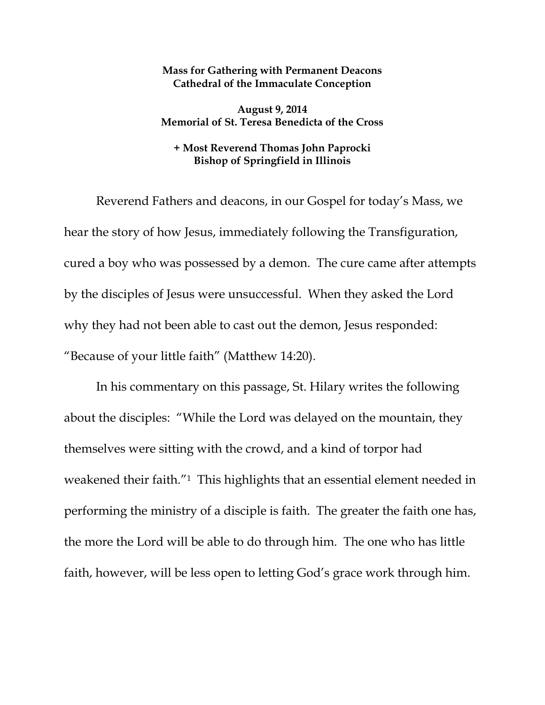## **Mass for Gathering with Permanent Deacons Cathedral of the Immaculate Conception**

**August 9, 2014 Memorial of St. Teresa Benedicta of the Cross** 

## **+ Most Reverend Thomas John Paprocki Bishop of Springfield in Illinois**

Reverend Fathers and deacons, in our Gospel for today's Mass, we hear the story of how Jesus, immediately following the Transfiguration, cured a boy who was possessed by a demon. The cure came after attempts by the disciples of Jesus were unsuccessful. When they asked the Lord why they had not been able to cast out the demon, Jesus responded: "Because of your little faith" (Matthew 14:20).

In his commentary on this passage, St. Hilary writes the following about the disciples: "While the Lord was delayed on the mountain, they themselves were sitting with the crowd, and a kind of torpor had weakened their faith."1 This highlights that an essential element needed in performing the ministry of a disciple is faith. The greater the faith one has, the more the Lord will be able to do through him. The one who has little faith, however, will be less open to letting God's grace work through him.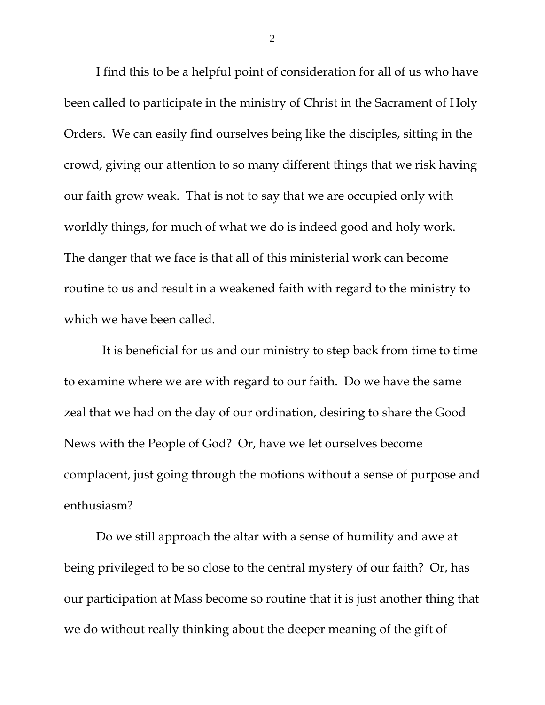I find this to be a helpful point of consideration for all of us who have been called to participate in the ministry of Christ in the Sacrament of Holy Orders. We can easily find ourselves being like the disciples, sitting in the crowd, giving our attention to so many different things that we risk having our faith grow weak. That is not to say that we are occupied only with worldly things, for much of what we do is indeed good and holy work. The danger that we face is that all of this ministerial work can become routine to us and result in a weakened faith with regard to the ministry to which we have been called.

 It is beneficial for us and our ministry to step back from time to time to examine where we are with regard to our faith. Do we have the same zeal that we had on the day of our ordination, desiring to share the Good News with the People of God? Or, have we let ourselves become complacent, just going through the motions without a sense of purpose and enthusiasm?

Do we still approach the altar with a sense of humility and awe at being privileged to be so close to the central mystery of our faith? Or, has our participation at Mass become so routine that it is just another thing that we do without really thinking about the deeper meaning of the gift of

2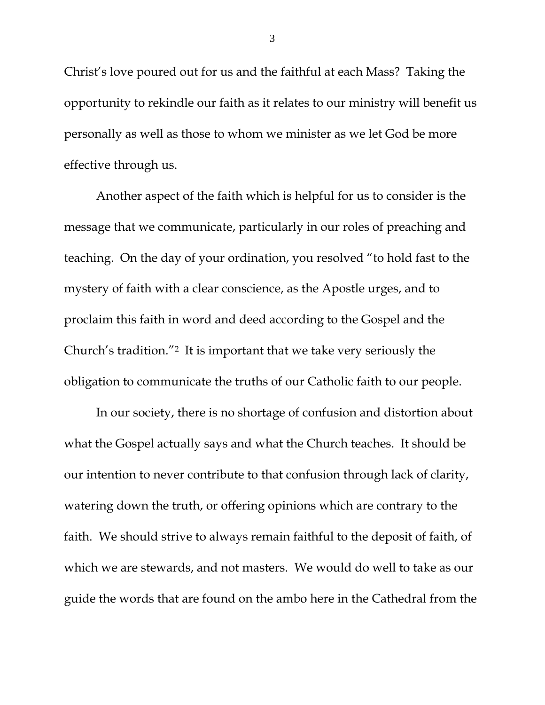Christ's love poured out for us and the faithful at each Mass? Taking the opportunity to rekindle our faith as it relates to our ministry will benefit us personally as well as those to whom we minister as we let God be more effective through us.

Another aspect of the faith which is helpful for us to consider is the message that we communicate, particularly in our roles of preaching and teaching. On the day of your ordination, you resolved "to hold fast to the mystery of faith with a clear conscience, as the Apostle urges, and to proclaim this faith in word and deed according to the Gospel and the Church's tradition."2 It is important that we take very seriously the obligation to communicate the truths of our Catholic faith to our people.

In our society, there is no shortage of confusion and distortion about what the Gospel actually says and what the Church teaches. It should be our intention to never contribute to that confusion through lack of clarity, watering down the truth, or offering opinions which are contrary to the faith. We should strive to always remain faithful to the deposit of faith, of which we are stewards, and not masters. We would do well to take as our guide the words that are found on the ambo here in the Cathedral from the

3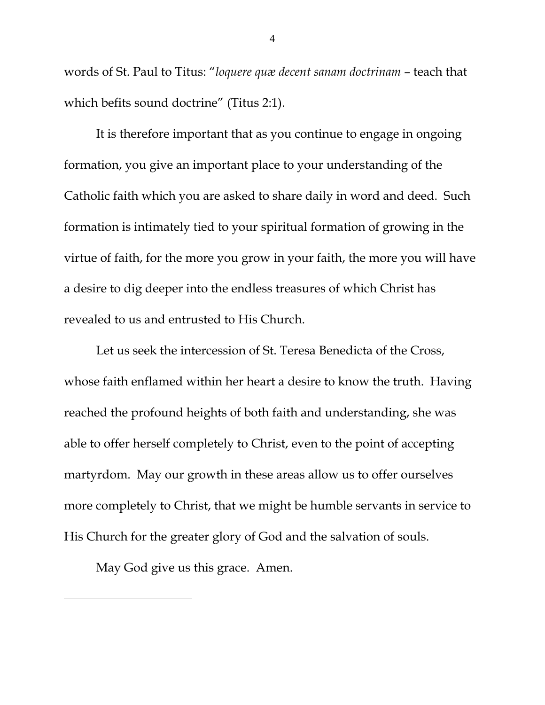words of St. Paul to Titus: "*loquere quæ decent sanam doctrinam* – teach that which befits sound doctrine" (Titus 2:1).

It is therefore important that as you continue to engage in ongoing formation, you give an important place to your understanding of the Catholic faith which you are asked to share daily in word and deed. Such formation is intimately tied to your spiritual formation of growing in the virtue of faith, for the more you grow in your faith, the more you will have a desire to dig deeper into the endless treasures of which Christ has revealed to us and entrusted to His Church.

Let us seek the intercession of St. Teresa Benedicta of the Cross, whose faith enflamed within her heart a desire to know the truth. Having reached the profound heights of both faith and understanding, she was able to offer herself completely to Christ, even to the point of accepting martyrdom. May our growth in these areas allow us to offer ourselves more completely to Christ, that we might be humble servants in service to His Church for the greater glory of God and the salvation of souls.

May God give us this grace. Amen.

 $\overline{a}$